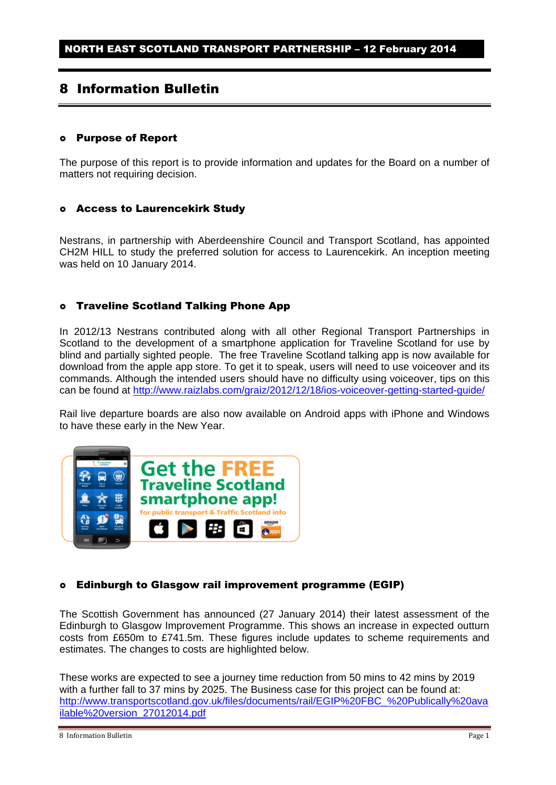# 8 Information Bulletin

### Purpose of Report

The purpose of this report is to provide information and updates for the Board on a number of matters not requiring decision.

#### Access to Laurencekirk Study

Nestrans, in partnership with Aberdeenshire Council and Transport Scotland, has appointed CH2M HILL to study the preferred solution for access to Laurencekirk. An inception meeting was held on 10 January 2014.

### Traveline Scotland Talking Phone App

In 2012/13 Nestrans contributed along with all other Regional Transport Partnerships in Scotland to the development of a smartphone application for Traveline Scotland for use by blind and partially sighted people. The free Traveline Scotland talking app is now available for download from the apple app store. To get it to speak, users will need to use voiceover and its commands. Although the intended users should have no difficulty using voiceover, tips on this can be found at<http://www.raizlabs.com/graiz/2012/12/18/ios-voiceover-getting-started-guide/>

Rail live departure boards are also now available on Android apps with iPhone and Windows to have these early in the New Year.



### Edinburgh to Glasgow rail improvement programme (EGIP)

The Scottish Government has announced (27 January 2014) their latest assessment of the Edinburgh to Glasgow Improvement Programme. This shows an increase in expected outturn costs from £650m to £741.5m. These figures include updates to scheme requirements and estimates. The changes to costs are highlighted below.

These works are expected to see a journey time reduction from 50 mins to 42 mins by 2019 with a further fall to 37 mins by 2025. The Business case for this project can be found at: [http://www.transportscotland.gov.uk/files/documents/rail/EGIP%20FBC\\_%20Publically%20ava](http://www.transportscotland.gov.uk/files/documents/rail/EGIP%20FBC_%20Publically%20available%20version_27012014.pdf) [ilable%20version\\_27012014.pdf](http://www.transportscotland.gov.uk/files/documents/rail/EGIP%20FBC_%20Publically%20available%20version_27012014.pdf)

<sup>8</sup> Information Bulletin **Page 1** Page 1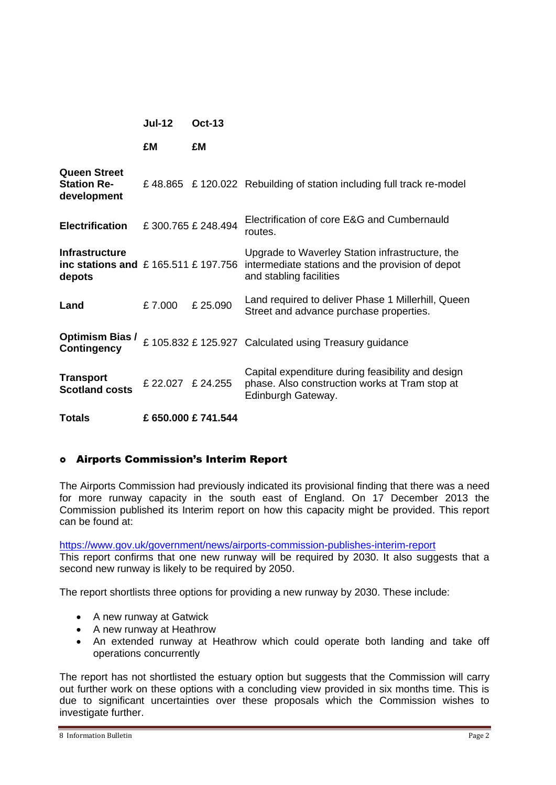|                                                                   | <b>Jul-12</b>     | $Oct-13$          |                                                                                                                                |
|-------------------------------------------------------------------|-------------------|-------------------|--------------------------------------------------------------------------------------------------------------------------------|
|                                                                   | £M                | £M                |                                                                                                                                |
| <b>Queen Street</b><br><b>Station Re-</b><br>development          |                   |                   | £48.865 £120.022 Rebuilding of station including full track re-model                                                           |
| <b>Electrification</b>                                            |                   | £300.765 £248.494 | Electrification of core E&G and Cumbernauld<br>routes.                                                                         |
| Infrastructure<br>inc stations and $£ 165.511 £197.756$<br>depots |                   |                   | Upgrade to Waverley Station infrastructure, the<br>intermediate stations and the provision of depot<br>and stabling facilities |
| Land                                                              | £7.000            | £25.090           | Land required to deliver Phase 1 Millerhill, Queen<br>Street and advance purchase properties.                                  |
| <b>Optimism Bias /</b><br><b>Contingency</b>                      |                   |                   | £ 105.832 £ 125.927 Calculated using Treasury guidance                                                                         |
| <b>Transport</b><br><b>Scotland costs</b>                         | £ 22.027 £ 24.255 |                   | Capital expenditure during feasibility and design<br>phase. Also construction works at Tram stop at<br>Edinburgh Gateway.      |

**Totals £ 650.000 £ 741.544** 

### Airports Commission's Interim Report

The Airports Commission had previously indicated its provisional finding that there was a need for more runway capacity in the south east of England. On 17 December 2013 the Commission published its Interim report on how this capacity might be provided. This report can be found at:

<https://www.gov.uk/government/news/airports-commission-publishes-interim-report>

This report confirms that one new runway will be required by 2030. It also suggests that a second new runway is likely to be required by 2050.

The report shortlists three options for providing a new runway by 2030. These include:

- A new runway at Gatwick
- A new runway at Heathrow
- An extended runway at Heathrow which could operate both landing and take off operations concurrently

The report has not shortlisted the estuary option but suggests that the Commission will carry out further work on these options with a concluding view provided in six months time. This is due to significant uncertainties over these proposals which the Commission wishes to investigate further.

```
8 Information Bulletin Page 2
```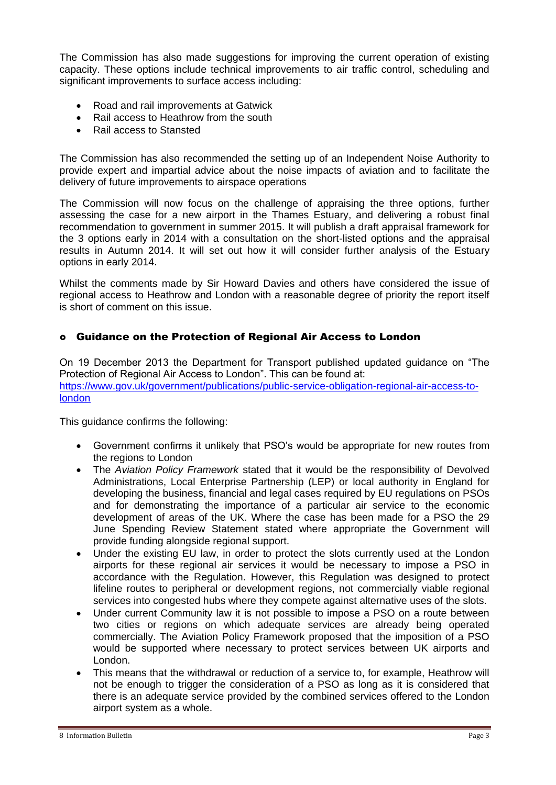The Commission has also made suggestions for improving the current operation of existing capacity. These options include technical improvements to air traffic control, scheduling and significant improvements to surface access including:

- Road and rail improvements at Gatwick
- Rail access to Heathrow from the south
- Rail access to Stansted

The Commission has also recommended the setting up of an Independent Noise Authority to provide expert and impartial advice about the noise impacts of aviation and to facilitate the delivery of future improvements to airspace operations

The Commission will now focus on the challenge of appraising the three options, further assessing the case for a new airport in the Thames Estuary, and delivering a robust final recommendation to government in summer 2015. It will publish a draft appraisal framework for the 3 options early in 2014 with a consultation on the short-listed options and the appraisal results in Autumn 2014. It will set out how it will consider further analysis of the Estuary options in early 2014.

Whilst the comments made by Sir Howard Davies and others have considered the issue of regional access to Heathrow and London with a reasonable degree of priority the report itself is short of comment on this issue.

## Guidance on the Protection of Regional Air Access to London

On 19 December 2013 the Department for Transport published updated guidance on "The Protection of Regional Air Access to London". This can be found at: [https://www.gov.uk/government/publications/public-service-obligation-regional-air-access-to](https://www.gov.uk/government/publications/public-service-obligation-regional-air-access-to-london)[london](https://www.gov.uk/government/publications/public-service-obligation-regional-air-access-to-london)

This guidance confirms the following:

- Government confirms it unlikely that PSO's would be appropriate for new routes from the regions to London
- The *Aviation Policy Framework* stated that it would be the responsibility of Devolved Administrations, Local Enterprise Partnership (LEP) or local authority in England for developing the business, financial and legal cases required by EU regulations on PSOs and for demonstrating the importance of a particular air service to the economic development of areas of the UK. Where the case has been made for a PSO the 29 June Spending Review Statement stated where appropriate the Government will provide funding alongside regional support.
- Under the existing EU law, in order to protect the slots currently used at the London airports for these regional air services it would be necessary to impose a PSO in accordance with the Regulation. However, this Regulation was designed to protect lifeline routes to peripheral or development regions, not commercially viable regional services into congested hubs where they compete against alternative uses of the slots.
- Under current Community law it is not possible to impose a PSO on a route between two cities or regions on which adequate services are already being operated commercially. The Aviation Policy Framework proposed that the imposition of a PSO would be supported where necessary to protect services between UK airports and London.
- This means that the withdrawal or reduction of a service to, for example, Heathrow will not be enough to trigger the consideration of a PSO as long as it is considered that there is an adequate service provided by the combined services offered to the London airport system as a whole.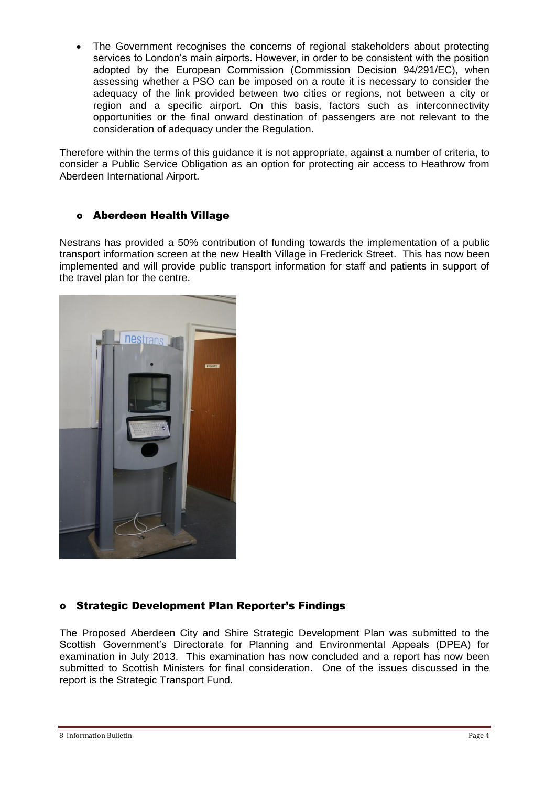The Government recognises the concerns of regional stakeholders about protecting services to London's main airports. However, in order to be consistent with the position adopted by the European Commission (Commission Decision 94/291/EC), when assessing whether a PSO can be imposed on a route it is necessary to consider the adequacy of the link provided between two cities or regions, not between a city or region and a specific airport. On this basis, factors such as interconnectivity opportunities or the final onward destination of passengers are not relevant to the consideration of adequacy under the Regulation.

Therefore within the terms of this guidance it is not appropriate, against a number of criteria, to consider a Public Service Obligation as an option for protecting air access to Heathrow from Aberdeen International Airport.

# Aberdeen Health Village

Nestrans has provided a 50% contribution of funding towards the implementation of a public transport information screen at the new Health Village in Frederick Street. This has now been implemented and will provide public transport information for staff and patients in support of the travel plan for the centre.



# Strategic Development Plan Reporter's Findings

The Proposed Aberdeen City and Shire Strategic Development Plan was submitted to the Scottish Government's Directorate for Planning and Environmental Appeals (DPEA) for examination in July 2013. This examination has now concluded and a report has now been submitted to Scottish Ministers for final consideration. One of the issues discussed in the report is the Strategic Transport Fund.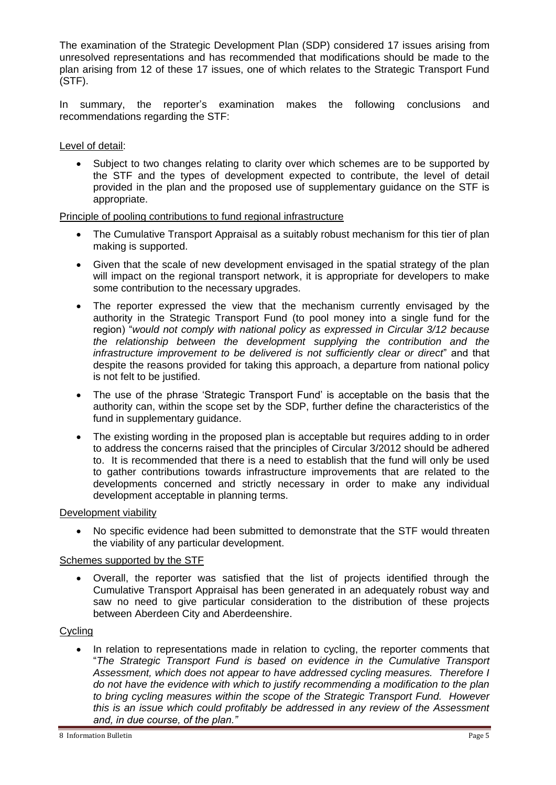The examination of the Strategic Development Plan (SDP) considered 17 issues arising from unresolved representations and has recommended that modifications should be made to the plan arising from 12 of these 17 issues, one of which relates to the Strategic Transport Fund (STF).

In summary, the reporter's examination makes the following conclusions and recommendations regarding the STF:

Level of detail:

 Subject to two changes relating to clarity over which schemes are to be supported by the STF and the types of development expected to contribute, the level of detail provided in the plan and the proposed use of supplementary guidance on the STF is appropriate.

### Principle of pooling contributions to fund regional infrastructure

- The Cumulative Transport Appraisal as a suitably robust mechanism for this tier of plan making is supported.
- Given that the scale of new development envisaged in the spatial strategy of the plan will impact on the regional transport network, it is appropriate for developers to make some contribution to the necessary upgrades.
- The reporter expressed the view that the mechanism currently envisaged by the authority in the Strategic Transport Fund (to pool money into a single fund for the region) "*would not comply with national policy as expressed in Circular 3/12 because the relationship between the development supplying the contribution and the infrastructure improvement to be delivered is not sufficiently clear or direct*" and that despite the reasons provided for taking this approach, a departure from national policy is not felt to be justified.
- The use of the phrase 'Strategic Transport Fund' is acceptable on the basis that the authority can, within the scope set by the SDP, further define the characteristics of the fund in supplementary guidance.
- The existing wording in the proposed plan is acceptable but requires adding to in order to address the concerns raised that the principles of Circular 3/2012 should be adhered to. It is recommended that there is a need to establish that the fund will only be used to gather contributions towards infrastructure improvements that are related to the developments concerned and strictly necessary in order to make any individual development acceptable in planning terms.

#### Development viability

 No specific evidence had been submitted to demonstrate that the STF would threaten the viability of any particular development.

### Schemes supported by the STF

 Overall, the reporter was satisfied that the list of projects identified through the Cumulative Transport Appraisal has been generated in an adequately robust way and saw no need to give particular consideration to the distribution of these projects between Aberdeen City and Aberdeenshire.

### **Cycling**

 In relation to representations made in relation to cycling, the reporter comments that "*The Strategic Transport Fund is based on evidence in the Cumulative Transport Assessment, which does not appear to have addressed cycling measures. Therefore I do not have the evidence with which to justify recommending a modification to the plan to bring cycling measures within the scope of the Strategic Transport Fund. However this is an issue which could profitably be addressed in any review of the Assessment and, in due course, of the plan."*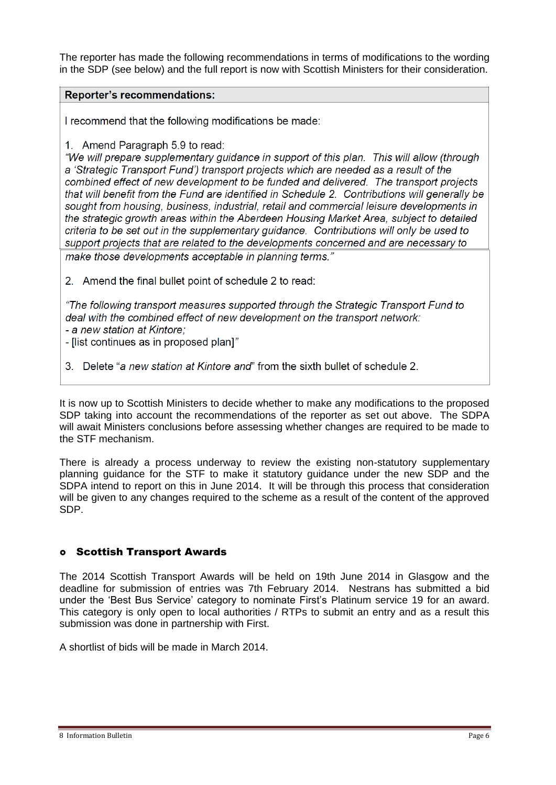The reporter has made the following recommendations in terms of modifications to the wording in the SDP (see below) and the full report is now with Scottish Ministers for their consideration.

### **Reporter's recommendations:**

I recommend that the following modifications be made:

1. Amend Paragraph 5.9 to read:

"We will prepare supplementary guidance in support of this plan. This will allow (through a 'Strategic Transport Fund') transport projects which are needed as a result of the combined effect of new development to be funded and delivered. The transport projects that will benefit from the Fund are identified in Schedule 2. Contributions will generally be sought from housing, business, industrial, retail and commercial leisure developments in the strategic growth areas within the Aberdeen Housing Market Area, subject to detailed criteria to be set out in the supplementary guidance. Contributions will only be used to support projects that are related to the developments concerned and are necessary to make those developments acceptable in planning terms.'

2. Amend the final bullet point of schedule 2 to read:

"The following transport measures supported through the Strategic Transport Fund to deal with the combined effect of new development on the transport network: - a new station at Kintore:

- Ilist continues as in proposed plan1"

3. Delete "a new station at Kintore and" from the sixth bullet of schedule 2.

It is now up to Scottish Ministers to decide whether to make any modifications to the proposed SDP taking into account the recommendations of the reporter as set out above. The SDPA will await Ministers conclusions before assessing whether changes are required to be made to the STF mechanism.

There is already a process underway to review the existing non-statutory supplementary planning guidance for the STF to make it statutory guidance under the new SDP and the SDPA intend to report on this in June 2014. It will be through this process that consideration will be given to any changes required to the scheme as a result of the content of the approved SDP.

# Scottish Transport Awards

The 2014 Scottish Transport Awards will be held on 19th June 2014 in Glasgow and the deadline for submission of entries was 7th February 2014. Nestrans has submitted a bid under the 'Best Bus Service' category to nominate First's Platinum service 19 for an award. This category is only open to local authorities / RTPs to submit an entry and as a result this submission was done in partnership with First.

A shortlist of bids will be made in March 2014.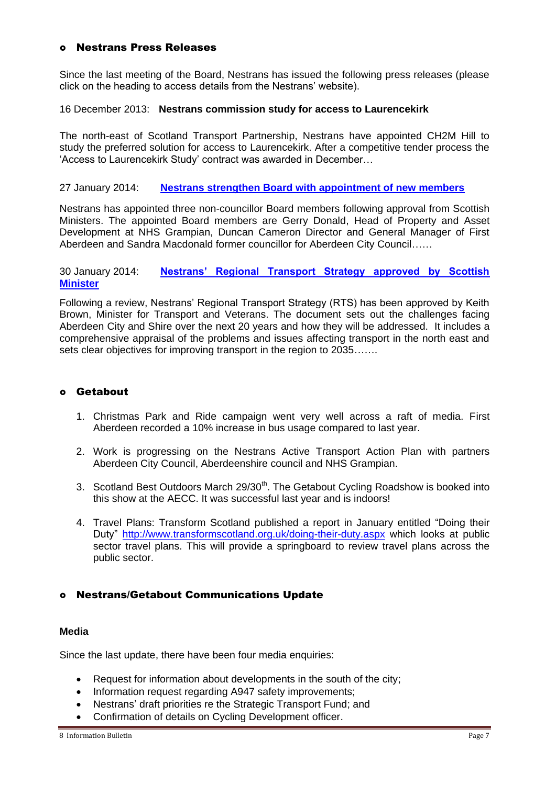### Nestrans Press Releases

Since the last meeting of the Board, Nestrans has issued the following press releases (please click on the heading to access details from the Nestrans' website).

### 16 December 2013: **Nestrans commission study for access to Laurencekirk**

The north-east of Scotland Transport Partnership, Nestrans have appointed CH2M Hill to study the preferred solution for access to Laurencekirk. After a competitive tender process the 'Access to Laurencekirk Study' contract was awarded in December…

#### 27 January 2014: **[Nestrans strengthen Board with appointment of new members](http://www.nestrans.org.uk/399/news.html)**

Nestrans has appointed three non-councillor Board members following approval from Scottish Ministers. The appointed Board members are Gerry Donald, Head of Property and Asset Development at NHS Grampian, Duncan Cameron Director and General Manager of First Aberdeen and Sandra Macdonald former councillor for Aberdeen City Council……

#### 30 January 2014: **[Nestrans' Regional Transport Strategy approved by Scottish](http://www.nestrans.org.uk/400/news.html)  [Minister](http://www.nestrans.org.uk/400/news.html)**

Following a review, Nestrans' Regional Transport Strategy (RTS) has been approved by Keith Brown, Minister for Transport and Veterans. The document sets out the challenges facing Aberdeen City and Shire over the next 20 years and how they will be addressed. It includes a comprehensive appraisal of the problems and issues affecting transport in the north east and sets clear objectives for improving transport in the region to 2035…….

## Getabout

- 1. Christmas Park and Ride campaign went very well across a raft of media. First Aberdeen recorded a 10% increase in bus usage compared to last year.
- 2. Work is progressing on the Nestrans Active Transport Action Plan with partners Aberdeen City Council, Aberdeenshire council and NHS Grampian.
- 3. Scotland Best Outdoors March 29/30<sup>th</sup>. The Getabout Cycling Roadshow is booked into this show at the AECC. It was successful last year and is indoors!
- 4. Travel Plans: Transform Scotland published a report in January entitled "Doing their Duty"<http://www.transformscotland.org.uk/doing-their-duty.aspx> which looks at public sector travel plans. This will provide a springboard to review travel plans across the public sector.

### Nestrans/Getabout Communications Update

#### **Media**

Since the last update, there have been four media enquiries:

- Request for information about developments in the south of the city;
- Information request regarding A947 safety improvements;
- Nestrans' draft priorities re the Strategic Transport Fund; and
- Confirmation of details on Cycling Development officer.

<sup>8</sup> Information Bulletin **Page 7** Page 7 Page 7 Page 7 Page 7 Page 7 Page 7 Page 7 Page 7 Page 7 Page 7 Page 7 Page 7 Page 7 Page 7 Page 7 Page 7 Page 7 Page 7 Page 7 Page 7 Page 7 Page 7 Page 7 Page 7 Page 7 Page 7 Page 7 P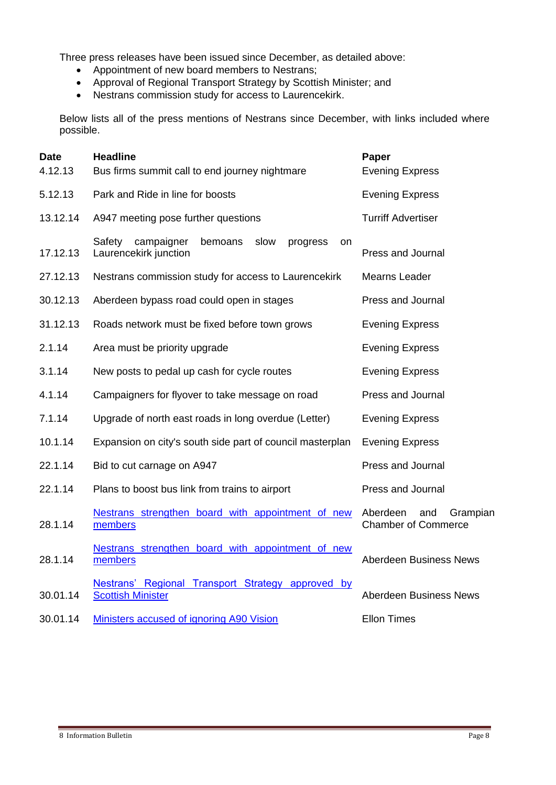Three press releases have been issued since December, as detailed above:

- Appointment of new board members to Nestrans;
- Approval of Regional Transport Strategy by Scottish Minister; and
- Nestrans commission study for access to Laurencekirk.

Below lists all of the press mentions of Nestrans since December, with links included where possible.

| <b>Date</b><br>4.12.13 | <b>Headline</b><br>Bus firms summit call to end journey nightmare                  | Paper<br><b>Evening Express</b>                           |
|------------------------|------------------------------------------------------------------------------------|-----------------------------------------------------------|
| 5.12.13                | Park and Ride in line for boosts                                                   | <b>Evening Express</b>                                    |
| 13.12.14               | A947 meeting pose further questions                                                | <b>Turriff Advertiser</b>                                 |
| 17.12.13               | campaigner<br>Safety<br>bemoans<br>slow<br>progress<br>on<br>Laurencekirk junction | Press and Journal                                         |
| 27.12.13               | Nestrans commission study for access to Laurencekirk                               | Mearns Leader                                             |
| 30.12.13               | Aberdeen bypass road could open in stages                                          | Press and Journal                                         |
| 31.12.13               | Roads network must be fixed before town grows                                      | <b>Evening Express</b>                                    |
| 2.1.14                 | Area must be priority upgrade                                                      | <b>Evening Express</b>                                    |
| 3.1.14                 | New posts to pedal up cash for cycle routes                                        | <b>Evening Express</b>                                    |
| 4.1.14                 | Campaigners for flyover to take message on road                                    | Press and Journal                                         |
| 7.1.14                 | Upgrade of north east roads in long overdue (Letter)                               | <b>Evening Express</b>                                    |
| 10.1.14                | Expansion on city's south side part of council masterplan                          | <b>Evening Express</b>                                    |
| 22.1.14                | Bid to cut carnage on A947                                                         | Press and Journal                                         |
| 22.1.14                | Plans to boost bus link from trains to airport                                     | Press and Journal                                         |
| 28.1.14                | Nestrans strengthen board with appointment of new<br>members                       | Aberdeen<br>and<br>Grampian<br><b>Chamber of Commerce</b> |
| 28.1.14                | Nestrans strengthen board with appointment of new<br>members                       | Aberdeen Business News                                    |
| 30.01.14               | Nestrans' Regional Transport Strategy approved by<br><b>Scottish Minister</b>      | Aberdeen Business News                                    |
| 30.01.14               | Ministers accused of ignoring A90 Vision                                           | <b>Ellon Times</b>                                        |